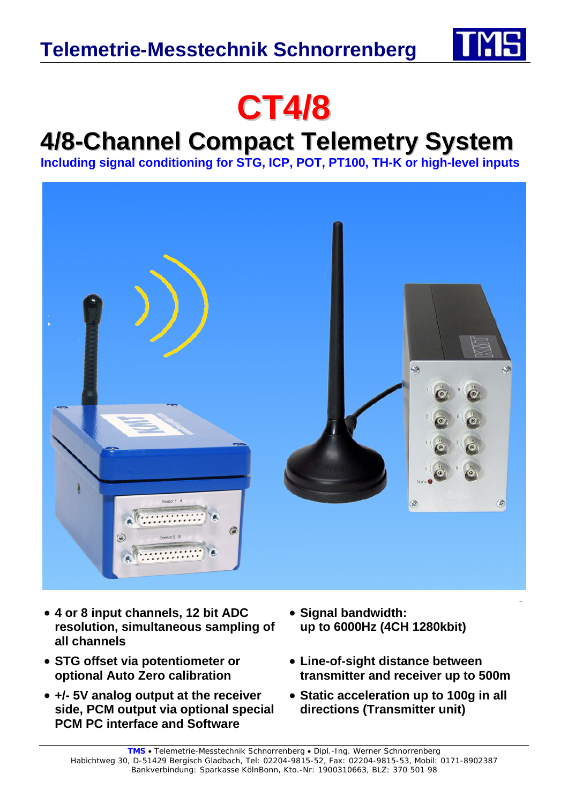



## **4/8-Channel Compact Telemetry System**

**Including signal conditioning for STG, ICP, POT, PT100, TH-K or high-level inputs** 



- **4 or 8 input channels, 12 bit ADC resolution, simultaneous sampling of all channels**
- **STG offset via potentiometer or optional Auto Zero calibration**
- **+/- 5V analog output at the receiver side, PCM output via optional special PCM PC interface and Software**
- **Signal bandwidth: up to 6000Hz (4CH 1280kbit)**
- **Line-of-sight distance between transmitter and receiver up to 500m**
- **Static acceleration up to 100g in all directions (Transmitter unit)**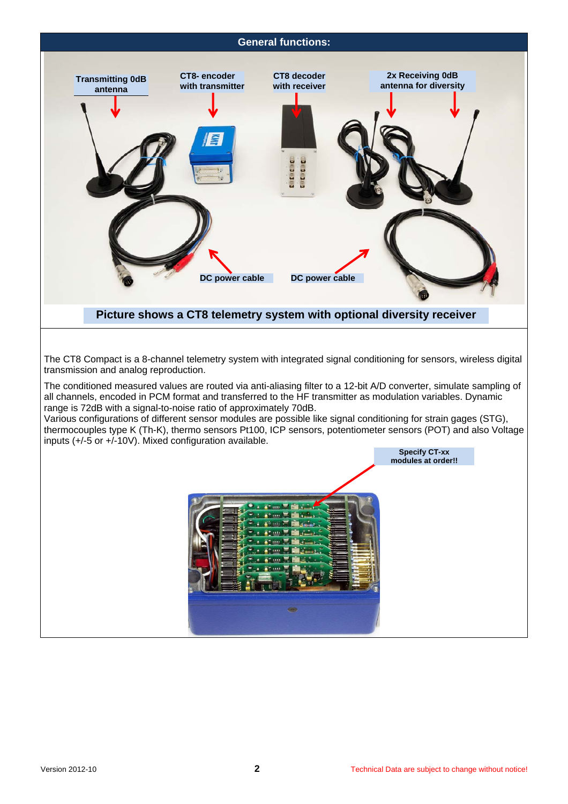

The conditioned measured values are routed via anti-aliasing filter to a 12-bit A/D converter, simulate sampling of all channels, encoded in PCM format and transferred to the HF transmitter as modulation variables. Dynamic range is 72dB with a signal-to-noise ratio of approximately 70dB.

Various configurations of different sensor modules are possible like signal conditioning for strain gages (STG), thermocouples type K (Th-K), thermo sensors Pt100, ICP sensors, potentiometer sensors (POT) and also Voltage inputs (+/-5 or +/-10V). Mixed configuration available.

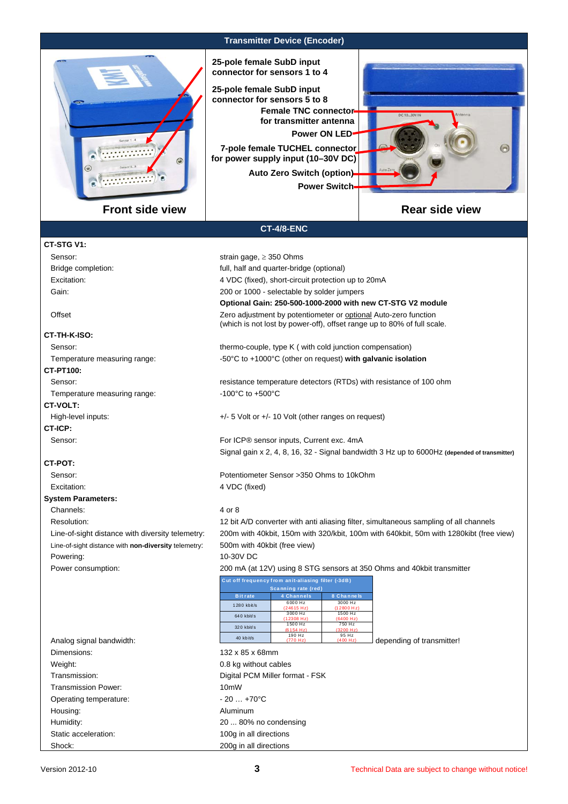

**Transmitter Device (Encoder)** 

**25-pole female SubD input connector for sensors 1 to 4**

**7-pole female TUCHEL connector for power supply input (10–30V DC) 25-pole female SubD input connector for sensors 5 to 8 Power ON LED Female TNC connector for transmitter antenna Auto Zero Switch (option)**

**Power Switch**



## **Rear side view**

## **CT-4/8-ENC**

| CT-STG V1:                                           |                                                                                                                                            |  |  |  |
|------------------------------------------------------|--------------------------------------------------------------------------------------------------------------------------------------------|--|--|--|
| Sensor:                                              | strain gage, $\geq$ 350 Ohms                                                                                                               |  |  |  |
| Bridge completion:                                   | full, half and quarter-bridge (optional)                                                                                                   |  |  |  |
| Excitation:                                          | 4 VDC (fixed), short-circuit protection up to 20mA                                                                                         |  |  |  |
| Gain:                                                | 200 or 1000 - selectable by solder jumpers                                                                                                 |  |  |  |
|                                                      | Optional Gain: 250-500-1000-2000 with new CT-STG V2 module                                                                                 |  |  |  |
| Offset                                               | Zero adjustment by potentiometer or optional Auto-zero function<br>(which is not lost by power-off), offset range up to 80% of full scale. |  |  |  |
|                                                      |                                                                                                                                            |  |  |  |
| CT-TH-K-ISO:                                         |                                                                                                                                            |  |  |  |
| Sensor:                                              | thermo-couple, type K (with cold junction compensation)                                                                                    |  |  |  |
| Temperature measuring range:                         | -50°C to +1000°C (other on request) with galvanic isolation                                                                                |  |  |  |
| CT-PT100:                                            |                                                                                                                                            |  |  |  |
| Sensor:                                              | resistance temperature detectors (RTDs) with resistance of 100 ohm                                                                         |  |  |  |
| Temperature measuring range:                         | $-100^{\circ}$ C to $+500^{\circ}$ C                                                                                                       |  |  |  |
| <b>CT-VOLT:</b>                                      |                                                                                                                                            |  |  |  |
| High-level inputs:                                   | $+/-$ 5 Volt or $+/-$ 10 Volt (other ranges on request)                                                                                    |  |  |  |
| CT-ICP:                                              |                                                                                                                                            |  |  |  |
| Sensor:                                              | For ICP® sensor inputs, Current exc. 4mA                                                                                                   |  |  |  |
|                                                      | Signal gain x 2, 4, 8, 16, 32 - Signal bandwidth 3 Hz up to 6000Hz (depended of transmitter)                                               |  |  |  |
| CT-POT:                                              |                                                                                                                                            |  |  |  |
| Sensor:                                              | Potentiometer Sensor > 350 Ohms to 10kOhm                                                                                                  |  |  |  |
| Excitation:                                          | 4 VDC (fixed)                                                                                                                              |  |  |  |
| <b>System Parameters:</b>                            |                                                                                                                                            |  |  |  |
| Channels:                                            | 4 or 8                                                                                                                                     |  |  |  |
| Resolution:                                          | 12 bit A/D converter with anti aliasing filter, simultaneous sampling of all channels                                                      |  |  |  |
| Line-of-sight distance with diversity telemetry:     | 200m with 40kbit, 150m with 320/kbit, 100m with 640kbit, 50m with 1280kibt (free view)                                                     |  |  |  |
| Line-of-sight distance with non-diversity telemetry: | 500m with 40kbit (free view)                                                                                                               |  |  |  |
| Powering:                                            | 10-30V DC                                                                                                                                  |  |  |  |
| Power consumption:                                   | 200 mA (at 12V) using 8 STG sensors at 350 Ohms and 40 kbit transmitter                                                                    |  |  |  |
|                                                      | Cut off frequency from anit-aliasing filter (-3dB)                                                                                         |  |  |  |
|                                                      | Scanning rate (red)<br>4 Channels<br>8 Channels<br><b>Bit rate</b>                                                                         |  |  |  |
|                                                      | 6000 Hz<br>3000 Hz<br>1280 kbit/s<br>(24615 Hz)<br>(12800 Hz)                                                                              |  |  |  |
|                                                      | 3000 Hz<br>1500 Hz<br>640 kbit/s<br>(12308 Hz)<br>(6400 Hz)                                                                                |  |  |  |
|                                                      | 750 Hz<br>1500 Hz<br>320 kbit/s<br>3200 Hz<br>(6154 Hz                                                                                     |  |  |  |
| Analog signal bandwidth:                             | 190 Hz<br>95 Hz<br>40 kbit/s<br>(400 Hz)<br>(770 Hz)<br>depending of transmitter!                                                          |  |  |  |
| Dimensions:                                          | 132 x 85 x 68mm                                                                                                                            |  |  |  |
| Weight:                                              | 0.8 kg without cables                                                                                                                      |  |  |  |
| Transmission:                                        | Digital PCM Miller format - FSK                                                                                                            |  |  |  |
| Transmission Power:                                  | 10mW                                                                                                                                       |  |  |  |
| Operating temperature:                               | $-20+70°C$                                                                                                                                 |  |  |  |
| Housing:                                             | Aluminum                                                                                                                                   |  |  |  |
| Humidity:                                            | 20  80% no condensing                                                                                                                      |  |  |  |
| Static acceleration:                                 | 100g in all directions                                                                                                                     |  |  |  |

Shock: 200g in all directions